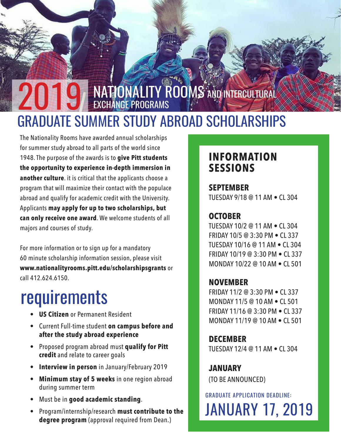### NATIONALITY ROOMS AND INTERCULTURAL EXCHANGE PROGRAMS GRADUATE SUMMER STUDY ABROAD SCHOLARSHIPS 2019

The Nationality Rooms have awarded annual scholarships for summer study abroad to all parts of the world since 1948. The purpose of the awards is to **give Pitt students the opportunity to experience in-depth immersion in another culture**. it is critical that the applicants choose a program that will maximize their contact with the populace abroad and qualify for academic credit with the University. Applicants **may apply for up to two scholarships, but can only receive one award**. We welcome students of all majors and courses of study.

For more information or to sign up for a mandatory 60 minute scholarship information session, please visit **www.nationalityrooms.pitt.edu/scholarshipsgrants** or call 412.624.6150.

# requirements

- **• US Citizen** or Permanent Resident
- Current Full-time student **on campus before and after the study abroad experience**
- Proposed program abroad must **qualify for Pitt credit** and relate to career goals
- **• Interview in person** in January/February 2019
- **• Minimum stay of 5 weeks** in one region abroad during summer term
- Must be in **good academic standing**.
- Program/internship/research **must contribute to the degree program** (approval required from Dean.)

### **INFORMATION SESSIONS**

#### **SEPTEMBER**  TUESDAY 9/18 @ 11 AM • CL 304

#### **OCTOBER**

TUESDAY 10/2 @ 11 AM • CL 304 FRIDAY 10/5 @ 3:30 PM • CL 337 TUESDAY 10/16 @ 11 AM • CL 304 FRIDAY 10/19 @ 3:30 PM • CL 337 MONDAY 10/22 @ 10 AM • CL 501

#### **NOVEMBER**

FRIDAY 11/2 @ 3:30 PM • CL 337 MONDAY 11/5 @ 10 AM • CL 501 FRIDAY 11/16 @ 3:30 PM • CL 337 MONDAY 11/19 @ 10 AM • CL 501

**DECEMBER** TUESDAY 12/4 @ 11 AM • CL 304

**JANUARY** (TO BE ANNOUNCED)

GRADUATE APPLICATION DEADLINE: JANUARY 17, 2019